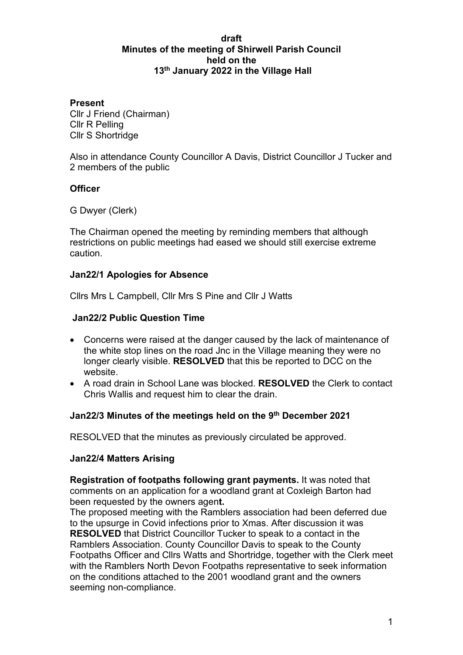### **draft Minutes of the meeting of Shirwell Parish Council held on the 13th January 2022 in the Village Hall**

### **Present**

Cllr J Friend (Chairman) Cllr R Pelling Cllr S Shortridge

Also in attendance County Councillor A Davis, District Councillor J Tucker and 2 members of the public

# **Officer**

G Dwyer (Clerk)

The Chairman opened the meeting by reminding members that although restrictions on public meetings had eased we should still exercise extreme caution.

## **Jan22/1 Apologies for Absence**

Cllrs Mrs L Campbell, Cllr Mrs S Pine and Cllr J Watts

## **Jan22/2 Public Question Time**

- Concerns were raised at the danger caused by the lack of maintenance of the white stop lines on the road Jnc in the Village meaning they were no longer clearly visible. **RESOLVED** that this be reported to DCC on the website.
- A road drain in School Lane was blocked. **RESOLVED** the Clerk to contact Chris Wallis and request him to clear the drain.

# **Jan22/3 Minutes of the meetings held on the 9th December 2021**

RESOLVED that the minutes as previously circulated be approved.

### **Jan22/4 Matters Arising**

**Registration of footpaths following grant payments.** It was noted that comments on an application for a woodland grant at Coxleigh Barton had been requested by the owners agen**t.** 

The proposed meeting with the Ramblers association had been deferred due to the upsurge in Covid infections prior to Xmas. After discussion it was **RESOLVED** that District Councillor Tucker to speak to a contact in the Ramblers Association. County Councillor Davis to speak to the County Footpaths Officer and Cllrs Watts and Shortridge, together with the Clerk meet with the Ramblers North Devon Footpaths representative to seek information on the conditions attached to the 2001 woodland grant and the owners seeming non-compliance.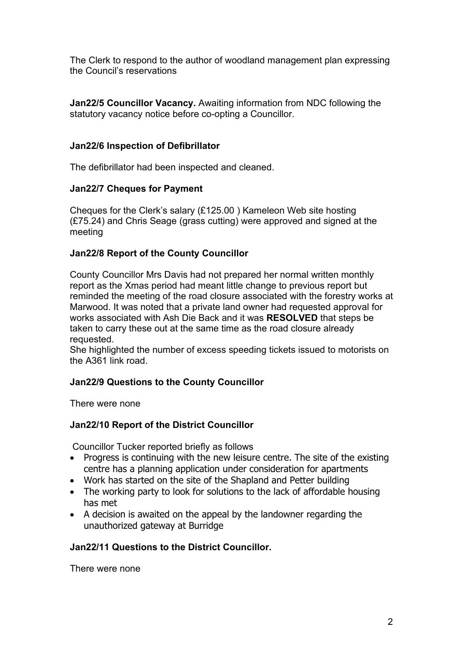The Clerk to respond to the author of woodland management plan expressing the Council's reservations

**Jan22/5 Councillor Vacancy.** Awaiting information from NDC following the statutory vacancy notice before co-opting a Councillor.

## **Jan22/6 Inspection of Defibrillator**

The defibrillator had been inspected and cleaned.

## **Jan22/7 Cheques for Payment**

Cheques for the Clerk's salary (£125.00 ) Kameleon Web site hosting (£75.24) and Chris Seage (grass cutting) were approved and signed at the meeting

# **Jan22/8 Report of the County Councillor**

County Councillor Mrs Davis had not prepared her normal written monthly report as the Xmas period had meant little change to previous report but reminded the meeting of the road closure associated with the forestry works at Marwood. It was noted that a private land owner had requested approval for works associated with Ash Die Back and it was **RESOLVED** that steps be taken to carry these out at the same time as the road closure already requested.

She highlighted the number of excess speeding tickets issued to motorists on the A361 link road.

# **Jan22/9 Questions to the County Councillor**

There were none

# **Jan22/10 Report of the District Councillor**

Councillor Tucker reported briefly as follows

- Progress is continuing with the new leisure centre. The site of the existing centre has a planning application under consideration for apartments
- Work has started on the site of the Shapland and Petter building
- The working party to look for solutions to the lack of affordable housing has met
- A decision is awaited on the appeal by the landowner regarding the unauthorized gateway at Burridge

# **Jan22/11 Questions to the District Councillor.**

There were none